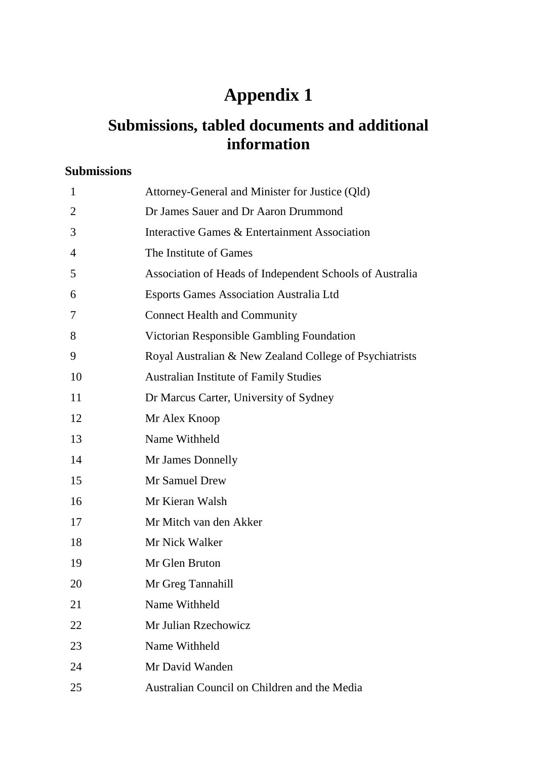# **Appendix 1**

# **Submissions, tabled documents and additional information**

## **Submissions**

| $\mathbf{1}$   | Attorney-General and Minister for Justice (Qld)          |
|----------------|----------------------------------------------------------|
| $\overline{2}$ | Dr James Sauer and Dr Aaron Drummond                     |
| 3              | Interactive Games & Entertainment Association            |
| $\overline{4}$ | The Institute of Games                                   |
| 5              | Association of Heads of Independent Schools of Australia |
| 6              | Esports Games Association Australia Ltd                  |
| 7              | <b>Connect Health and Community</b>                      |
| 8              | Victorian Responsible Gambling Foundation                |
| 9              | Royal Australian & New Zealand College of Psychiatrists  |
| 10             | <b>Australian Institute of Family Studies</b>            |
| 11             | Dr Marcus Carter, University of Sydney                   |
| 12             | Mr Alex Knoop                                            |
| 13             | Name Withheld                                            |
| 14             | Mr James Donnelly                                        |
| 15             | Mr Samuel Drew                                           |
| 16             | Mr Kieran Walsh                                          |
| 17             | Mr Mitch van den Akker                                   |
| 18             | Mr Nick Walker                                           |
| 19             | Mr Glen Bruton                                           |
| 20             | Mr Greg Tannahill                                        |
| 21             | Name Withheld                                            |
| 22             | Mr Julian Rzechowicz                                     |
| 23             | Name Withheld                                            |
| 24             | Mr David Wanden                                          |
| 25             | Australian Council on Children and the Media             |